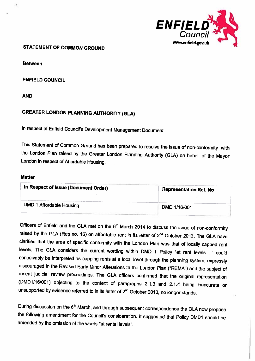

Between

ENFIELD COUNCIL

AND

# GREATER LONDON PLANNING AUTHORITY (GLA)

In respect of Enfield Council's Development Management Document

This Statement of Common Ground has been prepared to resolve the issue of non-conformity with the London Plan raised by the Greater London Planning Authority (GLA) on behalf of the Mayor London in respect of Affordable Housing.

### **Matter**

| <b>Representation Ref. No</b> |
|-------------------------------|
| DMD 1/16/001                  |
|                               |

Officers of Enfield and the GLA met on the 6<sup>th</sup> March 2014 to discuss the issue of non-conformity raised by the GLA (Rep no. 16) on affordable rent in its letter of  $2^{nd}$  October 2013. The GLA have clarified that the area of specific conformity with the London Plan was that of locally capped rent levels. The GLA considers the current wording within DMD 1 Policy "at rent levels...." could conceivably be interpreted as capping rents at <sup>a</sup> local level through the <sup>p</sup>lanning system, expressly discouraged in the Revised Early Minor Alterations to the London Plan ("REMA") and the subject of recent judicial review proceedings. The GLA officers confirmed that the original representation (DMD1I16IOO1) objecting to the content of paragraphs 2.1.3 and 2.1.4 being inaccurate or unsupported by evidence referred to in its letter of 2<sup>nd</sup> October 2013, no longer stands.

During discussion on the 6<sup>th</sup> March, and through subsequent correspondence the GLA now propose the following amendment for the Council's consideration. It suggested that Policy DM01 should be amended by the omission of the words "at rental levels".